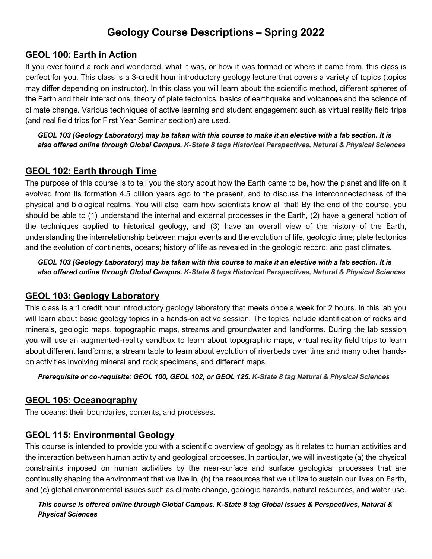### **GEOL 100: Earth in Action**

If you ever found a rock and wondered, what it was, or how it was formed or where it came from, this class is perfect for you. This class is a 3-credit hour introductory geology lecture that covers a variety of topics (topics may differ depending on instructor). In this class you will learn about: the scientific method, different spheres of the Earth and their interactions, theory of plate tectonics, basics of earthquake and volcanoes and the science of climate change. Various techniques of active learning and student engagement such as virtual reality field trips (and real field trips for First Year Seminar section) are used.

*GEOL 103 (Geology Laboratory) may be taken with this course to make it an elective with a lab section. It is also offered online through Global Campus. K-State 8 tags Historical Perspectives, Natural & Physical Sciences*

# **GEOL 102: Earth through Time**

The purpose of this course is to tell you the story about how the Earth came to be, how the planet and life on it evolved from its formation 4.5 billion years ago to the present, and to discuss the interconnectedness of the physical and biological realms. You will also learn how scientists know all that! By the end of the course, you should be able to (1) understand the internal and external processes in the Earth, (2) have a general notion of the techniques applied to historical geology, and (3) have an overall view of the history of the Earth, understanding the interrelationship between major events and the evolution of life, geologic time; plate tectonics and the evolution of continents, oceans; history of life as revealed in the geologic record; and past climates.

*GEOL 103 (Geology Laboratory) may be taken with this course to make it an elective with a lab section. It is also offered online through Global Campus. K-State 8 tags Historical Perspectives, Natural & Physical Sciences*

### **GEOL 103: Geology Laboratory**

This class is a 1 credit hour introductory geology laboratory that meets once a week for 2 hours. In this lab you will learn about basic geology topics in a hands-on active session. The topics include identification of rocks and minerals, geologic maps, topographic maps, streams and groundwater and landforms. During the lab session you will use an augmented-reality sandbox to learn about topographic maps, virtual reality field trips to learn about different landforms, a stream table to learn about evolution of riverbeds over time and many other handson activities involving mineral and rock specimens, and different maps.

*Prerequisite or co-requisite: GEOL 100, GEOL 102, or GEOL 125. K-State 8 tag Natural & Physical Sciences*

### **GEOL 105: Oceanography**

The oceans: their boundaries, contents, and processes.

### **GEOL 115: Environmental Geology**

This course is intended to provide you with a scientific overview of geology as it relates to human activities and the interaction between human activity and geological processes. In particular, we will investigate (a) the physical constraints imposed on human activities by the near-surface and surface geological processes that are continually shaping the environment that we live in, (b) the resources that we utilize to sustain our lives on Earth, and (c) global environmental issues such as climate change, geologic hazards, natural resources, and water use.

#### *This course is offered online through Global Campus. K-State 8 tag Global Issues & Perspectives, Natural & Physical Sciences*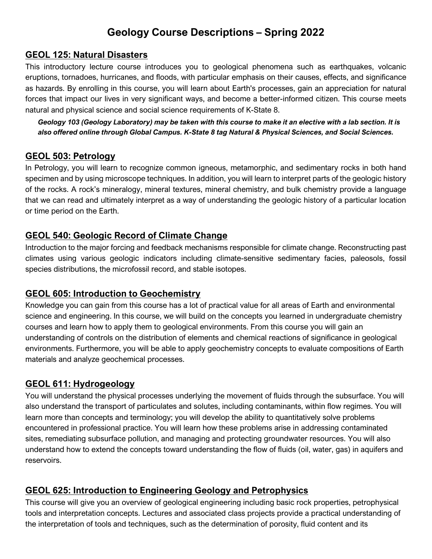### **GEOL 125: Natural Disasters**

This introductory lecture course introduces you to geological phenomena such as earthquakes, volcanic eruptions, tornadoes, hurricanes, and floods, with particular emphasis on their causes, effects, and significance as hazards. By enrolling in this course, you will learn about Earth's processes, gain an appreciation for natural forces that impact our lives in very significant ways, and become a better-informed citizen. This course meets natural and physical science and social science requirements of K-State 8.

*Geology 103 (Geology Laboratory) may be taken with this course to make it an elective with a lab section. It is also offered online through Global Campus. K-State 8 tag Natural & Physical Sciences, and Social Sciences.*

### **GEOL 503: Petrology**

In Petrology, you will learn to recognize common igneous, metamorphic, and sedimentary rocks in both hand specimen and by using microscope techniques. In addition, you will learn to interpret parts of the geologic history of the rocks. A rock's mineralogy, mineral textures, mineral chemistry, and bulk chemistry provide a language that we can read and ultimately interpret as a way of understanding the geologic history of a particular location or time period on the Earth.

# **GEOL 540: Geologic Record of Climate Change**

Introduction to the major forcing and feedback mechanisms responsible for climate change. Reconstructing past climates using various geologic indicators including climate-sensitive sedimentary facies, paleosols, fossil species distributions, the microfossil record, and stable isotopes.

# **GEOL 605: Introduction to Geochemistry**

Knowledge you can gain from this course has a lot of practical value for all areas of Earth and environmental science and engineering. In this course, we will build on the concepts you learned in undergraduate chemistry courses and learn how to apply them to geological environments. From this course you will gain an understanding of controls on the distribution of elements and chemical reactions of significance in geological environments. Furthermore, you will be able to apply geochemistry concepts to evaluate compositions of Earth materials and analyze geochemical processes.

# **GEOL 611: Hydrogeology**

You will understand the physical processes underlying the movement of fluids through the subsurface. You will also understand the transport of particulates and solutes, including contaminants, within flow regimes. You will learn more than concepts and terminology; you will develop the ability to quantitatively solve problems encountered in professional practice. You will learn how these problems arise in addressing contaminated sites, remediating subsurface pollution, and managing and protecting groundwater resources. You will also understand how to extend the concepts toward understanding the flow of fluids (oil, water, gas) in aquifers and reservoirs.

# **GEOL 625: Introduction to Engineering Geology and Petrophysics**

This course will give you an overview of geological engineering including basic rock properties, petrophysical tools and interpretation concepts. Lectures and associated class projects provide a practical understanding of the interpretation of tools and techniques, such as the determination of porosity, fluid content and its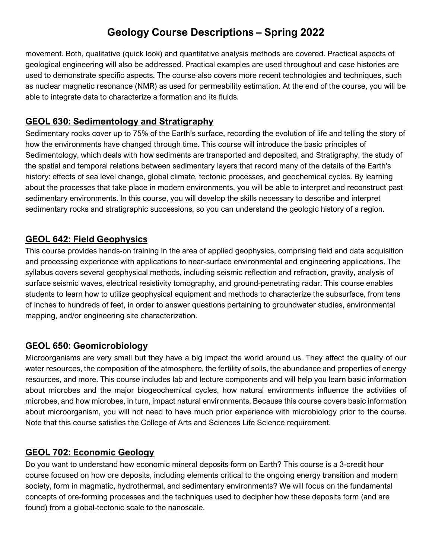movement. Both, qualitative (quick look) and quantitative analysis methods are covered. Practical aspects of geological engineering will also be addressed. Practical examples are used throughout and case histories are used to demonstrate specific aspects. The course also covers more recent technologies and techniques, such as nuclear magnetic resonance (NMR) as used for permeability estimation. At the end of the course, you will be able to integrate data to characterize a formation and its fluids.

# **GEOL 630: Sedimentology and Stratigraphy**

Sedimentary rocks cover up to 75% of the Earth's surface, recording the evolution of life and telling the story of how the environments have changed through time. This course will introduce the basic principles of Sedimentology, which deals with how sediments are transported and deposited, and Stratigraphy, the study of the spatial and temporal relations between sedimentary layers that record many of the details of the Earth's history: effects of sea level change, global climate, tectonic processes, and geochemical cycles. By learning about the processes that take place in modern environments, you will be able to interpret and reconstruct past sedimentary environments. In this course, you will develop the skills necessary to describe and interpret sedimentary rocks and stratigraphic successions, so you can understand the geologic history of a region.

# **GEOL 642: Field Geophysics**

This course provides hands-on training in the area of applied geophysics, comprising field and data acquisition and processing experience with applications to near-surface environmental and engineering applications. The syllabus covers several geophysical methods, including seismic reflection and refraction, gravity, analysis of surface seismic waves, electrical resistivity tomography, and ground-penetrating radar. This course enables students to learn how to utilize geophysical equipment and methods to characterize the subsurface, from tens of inches to hundreds of feet, in order to answer questions pertaining to groundwater studies, environmental mapping, and/or engineering site characterization.

# **GEOL 650: Geomicrobiology**

Microorganisms are very small but they have a big impact the world around us. They affect the quality of our water resources, the composition of the atmosphere, the fertility of soils, the abundance and properties of energy resources, and more. This course includes lab and lecture components and will help you learn basic information about microbes and the major biogeochemical cycles, how natural environments influence the activities of microbes, and how microbes, in turn, impact natural environments. Because this course covers basic information about microorganism, you will not need to have much prior experience with microbiology prior to the course. Note that this course satisfies the College of Arts and Sciences Life Science requirement.

### **GEOL 702: Economic Geology**

Do you want to understand how economic mineral deposits form on Earth? This course is a 3-credit hour course focused on how ore deposits, including elements critical to the ongoing energy transition and modern society, form in magmatic, hydrothermal, and sedimentary environments? We will focus on the fundamental concepts of ore-forming processes and the techniques used to decipher how these deposits form (and are found) from a global-tectonic scale to the nanoscale.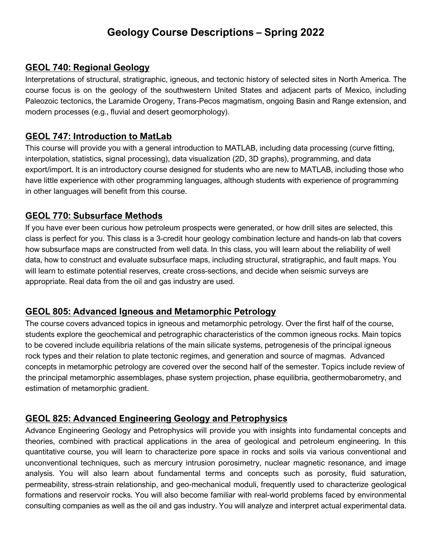### **GEOL 740: Regional Geology**

Interpretations of structural, stratigraphic, igneous, and tectonic history of selected sites in North America. The course focus is on the geology of the southwestern United States and adjacent parts of Mexico, including Paleozoic tectonics, the Laramide Orogeny, Trans-Pecos magmatism, ongoing Basin and Range extension, and modern processes (e.g., fluvial and desert geomorphology).

### **GEOL 747: Introduction to MatLab**

This course will provide you with a general introduction to MATLAB, including data processing (curve fitting, interpolation, statistics, signal processing), data visualization (2D, 3D graphs), programming, and data export/import. It is an introductory course designed for students who are new to MATLAB, including those who have little experience with other programming languages, although students with experience of programming in other languages will benefit from this course.

# **GEOL 770: Subsurface Methods**

If you have ever been curious how petroleum prospects were generated, or how drill sites are selected, this class is perfect for you. This class is a 3-credit hour geology combination lecture and hands-on lab that covers how subsurface maps are constructed from well data. In this class, you will learn about the reliability of well data, how to construct and evaluate subsurface maps, including structural, stratigraphic, and fault maps. You will learn to estimate potential reserves, create cross-sections, and decide when seismic surveys are appropriate. Real data from the oil and gas industry are used.

# **GEOL 805: Advanced Igneous and Metamorphic Petrology**

The course covers advanced topics in igneous and metamorphic petrology. Over the first half of the course, students explore the geochemical and petrographic characteristics of the common igneous rocks. Main topics to be covered include equilibria relations of the main silicate systems, petrogenesis of the principal igneous rock types and their relation to plate tectonic regimes, and generation and source of magmas. Advanced concepts in metamorphic petrology are covered over the second half of the semester. Topics include review of the principal metamorphic assemblages, phase system projection, phase equilibria, geothermobarometry, and estimation of metamorphic gradient.

# **GEOL 825: Advanced Engineering Geology and Petrophysics**

Advance Engineering Geology and Petrophysics will provide you with insights into fundamental concepts and theories, combined with practical applications in the area of geological and petroleum engineering. In this quantitative course, you will learn to characterize pore space in rocks and soils via various conventional and unconventional techniques, such as mercury intrusion porosimetry, nuclear magnetic resonance, and image analysis. You will also learn about fundamental terms and concepts such as porosity, fluid saturation, permeability, stress-strain relationship, and geo-mechanical moduli, frequently used to characterize geological formations and reservoir rocks. You will also become familiar with real-world problems faced by environmental consulting companies as well as the oil and gas industry. You will analyze and interpret actual experimental data.